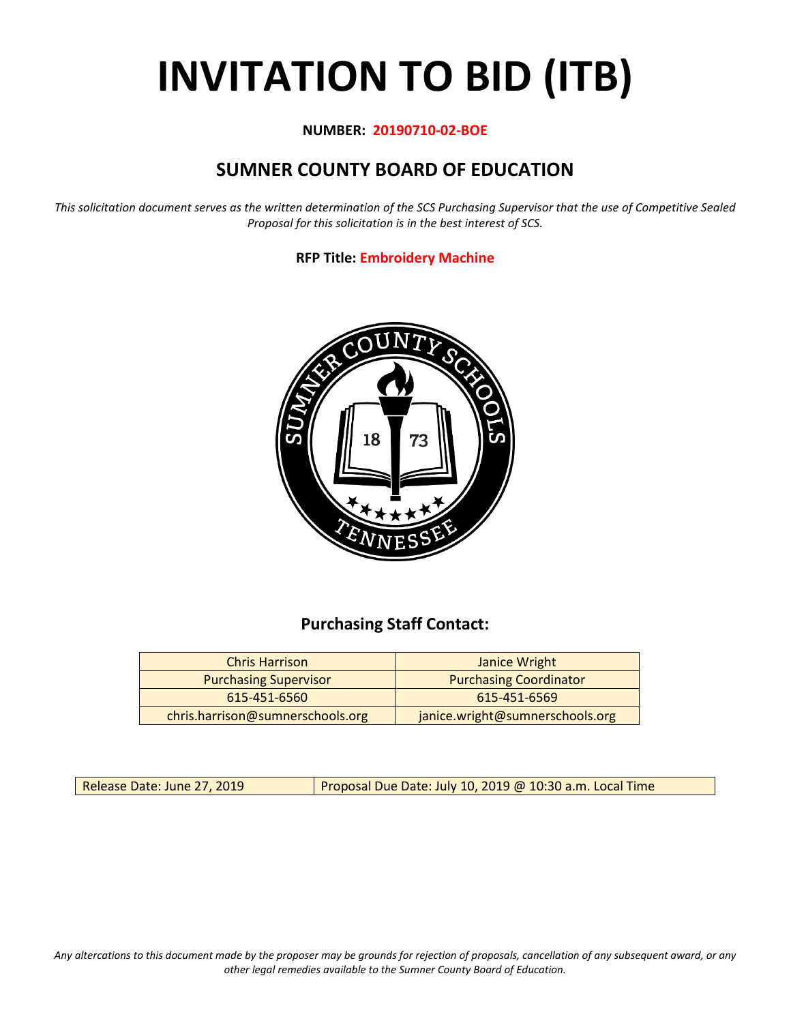# **INVITATION TO BID (ITB)**

## **NUMBER: 20190710-02-BOE**

# **SUMNER COUNTY BOARD OF EDUCATION**

*This solicitation document serves as the written determination of the SCS Purchasing Supervisor that the use of Competitive Sealed Proposal for this solicitation is in the best interest of SCS.*

## **RFP Title: Embroidery Machine**



# **Purchasing Staff Contact:**

| <b>Chris Harrison</b>            | Janice Wright                   |
|----------------------------------|---------------------------------|
| <b>Purchasing Supervisor</b>     | <b>Purchasing Coordinator</b>   |
| 615-451-6560                     | 615-451-6569                    |
| chris.harrison@sumnerschools.org | janice.wright@sumnerschools.org |

Release Date: June 27, 2019 | Proposal Due Date: July 10, 2019 @ 10:30 a.m. Local Time

*Any altercations to this document made by the proposer may be grounds for rejection of proposals, cancellation of any subsequent award, or any other legal remedies available to the Sumner County Board of Education.*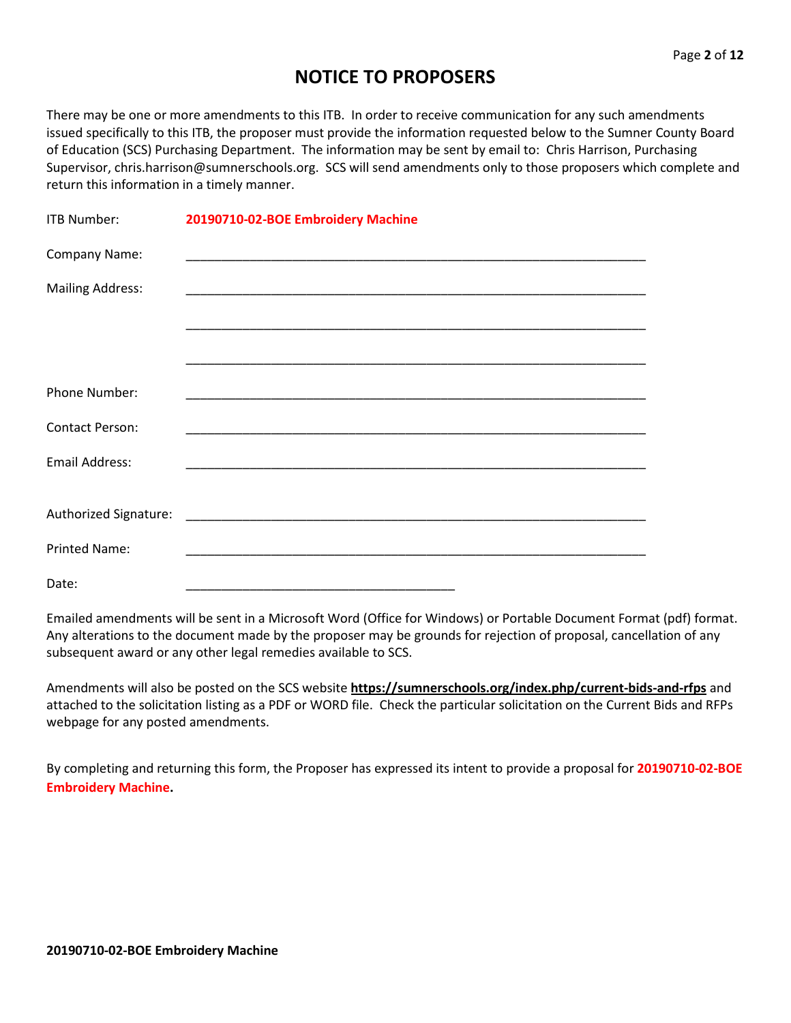# **NOTICE TO PROPOSERS**

There may be one or more amendments to this ITB. In order to receive communication for any such amendments issued specifically to this ITB, the proposer must provide the information requested below to the Sumner County Board of Education (SCS) Purchasing Department. The information may be sent by email to: Chris Harrison, Purchasing Supervisor, chris.harrison@sumnerschools.org. SCS will send amendments only to those proposers which complete and return this information in a timely manner.

| ITB Number:             | 20190710-02-BOE Embroidery Machine                          |
|-------------------------|-------------------------------------------------------------|
| Company Name:           |                                                             |
| <b>Mailing Address:</b> |                                                             |
|                         |                                                             |
|                         |                                                             |
| Phone Number:           | <u> 1989 - Johann Stoff, amerikansk politiker (d. 1989)</u> |
| <b>Contact Person:</b>  |                                                             |
| <b>Email Address:</b>   |                                                             |
| Authorized Signature:   |                                                             |
|                         |                                                             |
| <b>Printed Name:</b>    |                                                             |
| Date:                   |                                                             |

Emailed amendments will be sent in a Microsoft Word (Office for Windows) or Portable Document Format (pdf) format. Any alterations to the document made by the proposer may be grounds for rejection of proposal, cancellation of any subsequent award or any other legal remedies available to SCS.

Amendments will also be posted on the SCS website **https://sumnerschools.org/index.php/current-bids-and-rfps** and attached to the solicitation listing as a PDF or WORD file. Check the particular solicitation on the Current Bids and RFPs webpage for any posted amendments.

By completing and returning this form, the Proposer has expressed its intent to provide a proposal for **20190710-02-BOE Embroidery Machine.**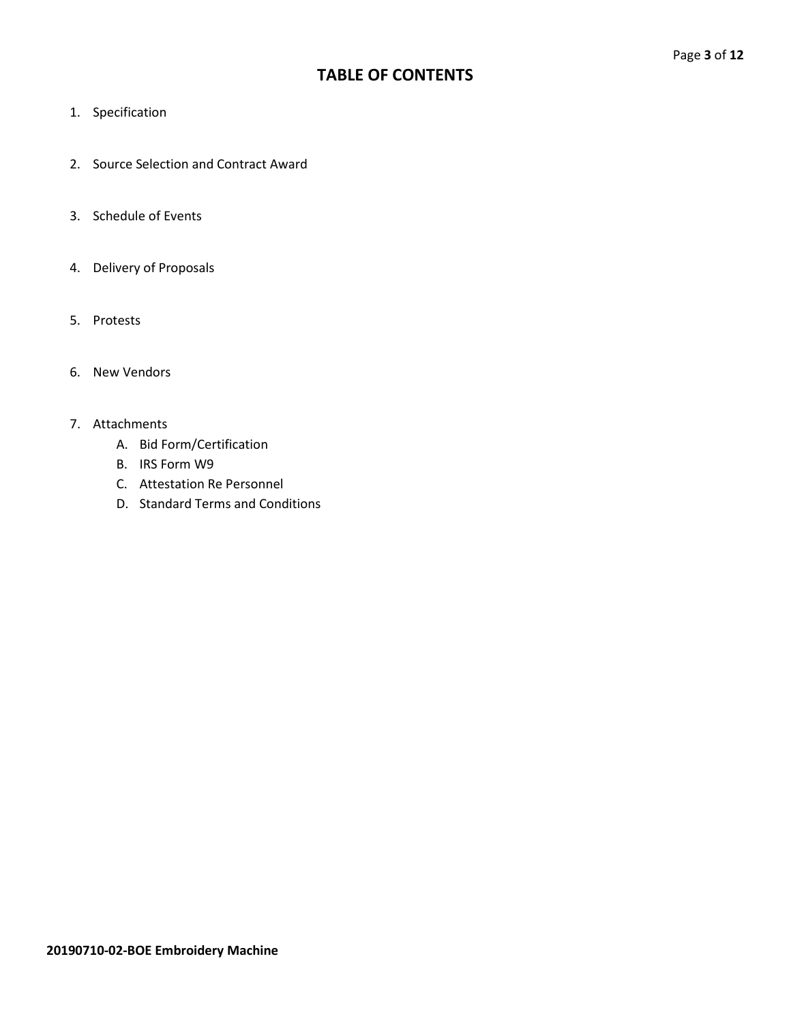## **TABLE OF CONTENTS**

- 1. Specification
- 2. Source Selection and Contract Award
- 3. Schedule of Events
- 4. Delivery of Proposals
- 5. Protests
- 6. New Vendors

#### 7. Attachments

- A. Bid Form/Certification
- B. IRS Form W9
- C. Attestation Re Personnel
- D. Standard Terms and Conditions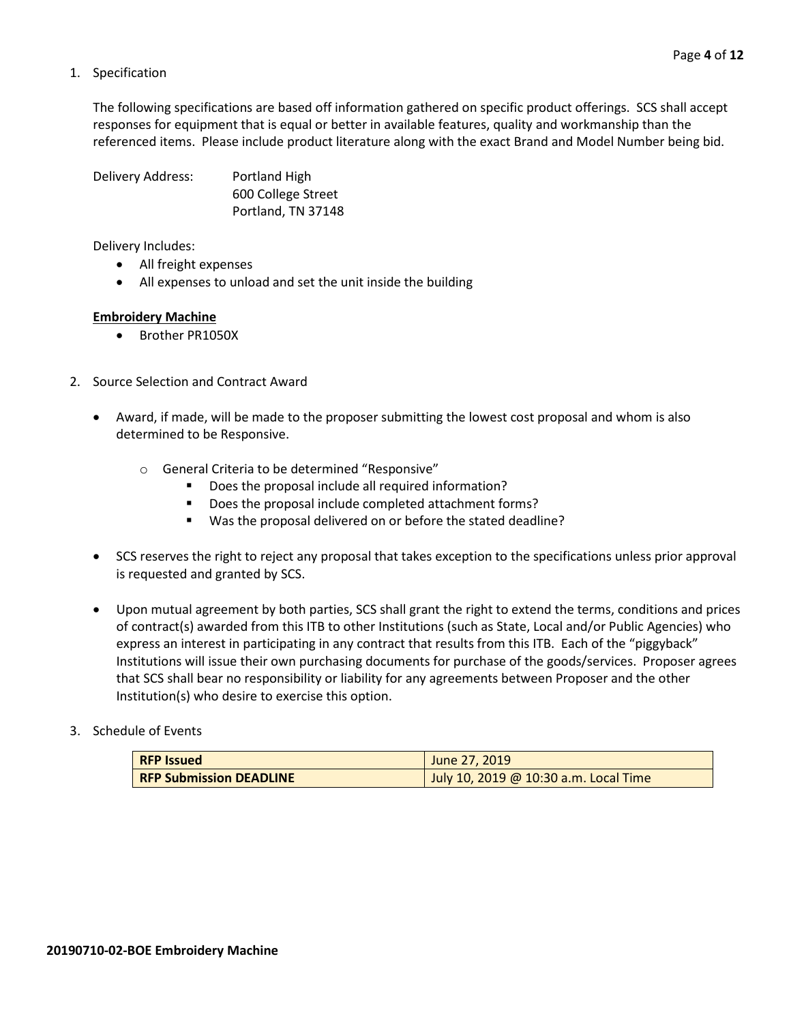#### 1. Specification

The following specifications are based off information gathered on specific product offerings. SCS shall accept responses for equipment that is equal or better in available features, quality and workmanship than the referenced items. Please include product literature along with the exact Brand and Model Number being bid.

Delivery Address: Portland High 600 College Street Portland, TN 37148

Delivery Includes:

- All freight expenses
- All expenses to unload and set the unit inside the building

#### **Embroidery Machine**

- Brother PR1050X
- 2. Source Selection and Contract Award
	- Award, if made, will be made to the proposer submitting the lowest cost proposal and whom is also determined to be Responsive.
		- o General Criteria to be determined "Responsive"
			- Does the proposal include all required information?
			- Does the proposal include completed attachment forms?
			- Was the proposal delivered on or before the stated deadline?
	- SCS reserves the right to reject any proposal that takes exception to the specifications unless prior approval is requested and granted by SCS.
	- Upon mutual agreement by both parties, SCS shall grant the right to extend the terms, conditions and prices of contract(s) awarded from this ITB to other Institutions (such as State, Local and/or Public Agencies) who express an interest in participating in any contract that results from this ITB. Each of the "piggyback" Institutions will issue their own purchasing documents for purchase of the goods/services. Proposer agrees that SCS shall bear no responsibility or liability for any agreements between Proposer and the other Institution(s) who desire to exercise this option.

#### 3. Schedule of Events

| <b>RFP Issued</b>              | June 27, 2019                         |
|--------------------------------|---------------------------------------|
| <b>RFP Submission DEADLINE</b> | July 10, 2019 @ 10:30 a.m. Local Time |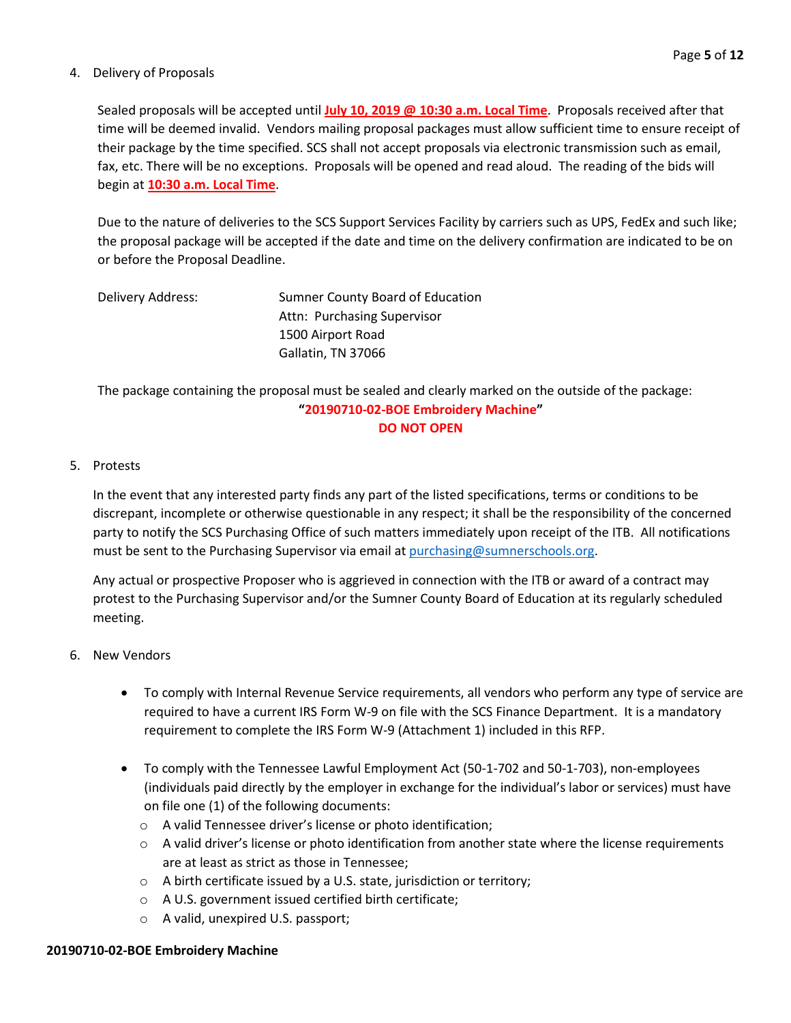#### 4. Delivery of Proposals

Sealed proposals will be accepted until **July 10, 2019 @ 10:30 a.m. Local Time**. Proposals received after that time will be deemed invalid. Vendors mailing proposal packages must allow sufficient time to ensure receipt of their package by the time specified. SCS shall not accept proposals via electronic transmission such as email, fax, etc. There will be no exceptions. Proposals will be opened and read aloud. The reading of the bids will begin at **10:30 a.m. Local Time**.

Due to the nature of deliveries to the SCS Support Services Facility by carriers such as UPS, FedEx and such like; the proposal package will be accepted if the date and time on the delivery confirmation are indicated to be on or before the Proposal Deadline.

| Delivery Address: | Sumner County Board of Education |  |  |  |
|-------------------|----------------------------------|--|--|--|
|                   | Attn: Purchasing Supervisor      |  |  |  |
|                   | 1500 Airport Road                |  |  |  |
|                   | Gallatin, TN 37066               |  |  |  |

The package containing the proposal must be sealed and clearly marked on the outside of the package: **"20190710-02-BOE Embroidery Machine" DO NOT OPEN**

#### 5. Protests

In the event that any interested party finds any part of the listed specifications, terms or conditions to be discrepant, incomplete or otherwise questionable in any respect; it shall be the responsibility of the concerned party to notify the SCS Purchasing Office of such matters immediately upon receipt of the ITB. All notifications must be sent to the Purchasing Supervisor via email at [purchasing@sumnerschools.org.](mailto:purchasing@sumnerschools.org)

Any actual or prospective Proposer who is aggrieved in connection with the ITB or award of a contract may protest to the Purchasing Supervisor and/or the Sumner County Board of Education at its regularly scheduled meeting.

#### 6. New Vendors

- To comply with Internal Revenue Service requirements, all vendors who perform any type of service are required to have a current IRS Form W-9 on file with the SCS Finance Department. It is a mandatory requirement to complete the IRS Form W-9 (Attachment 1) included in this RFP.
- To comply with the Tennessee Lawful Employment Act (50-1-702 and 50-1-703), non-employees (individuals paid directly by the employer in exchange for the individual's labor or services) must have on file one (1) of the following documents:
	- o A valid Tennessee driver's license or photo identification;
	- $\circ$  A valid driver's license or photo identification from another state where the license requirements are at least as strict as those in Tennessee;
	- o A birth certificate issued by a U.S. state, jurisdiction or territory;
	- o A U.S. government issued certified birth certificate;
	- o A valid, unexpired U.S. passport;

## **20190710-02-BOE Embroidery Machine**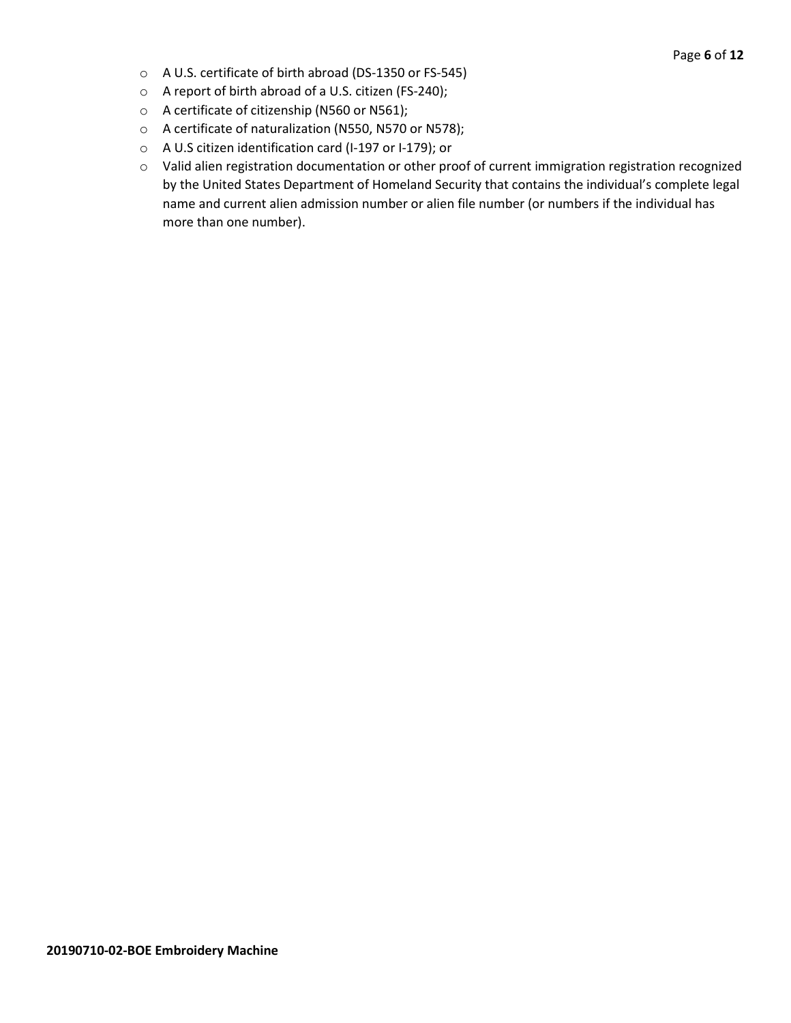- o A U.S. certificate of birth abroad (DS-1350 or FS-545)
- o A report of birth abroad of a U.S. citizen (FS-240);
- o A certificate of citizenship (N560 or N561);
- o A certificate of naturalization (N550, N570 or N578);
- o A U.S citizen identification card (I-197 or I-179); or
- o Valid alien registration documentation or other proof of current immigration registration recognized by the United States Department of Homeland Security that contains the individual's complete legal name and current alien admission number or alien file number (or numbers if the individual has more than one number).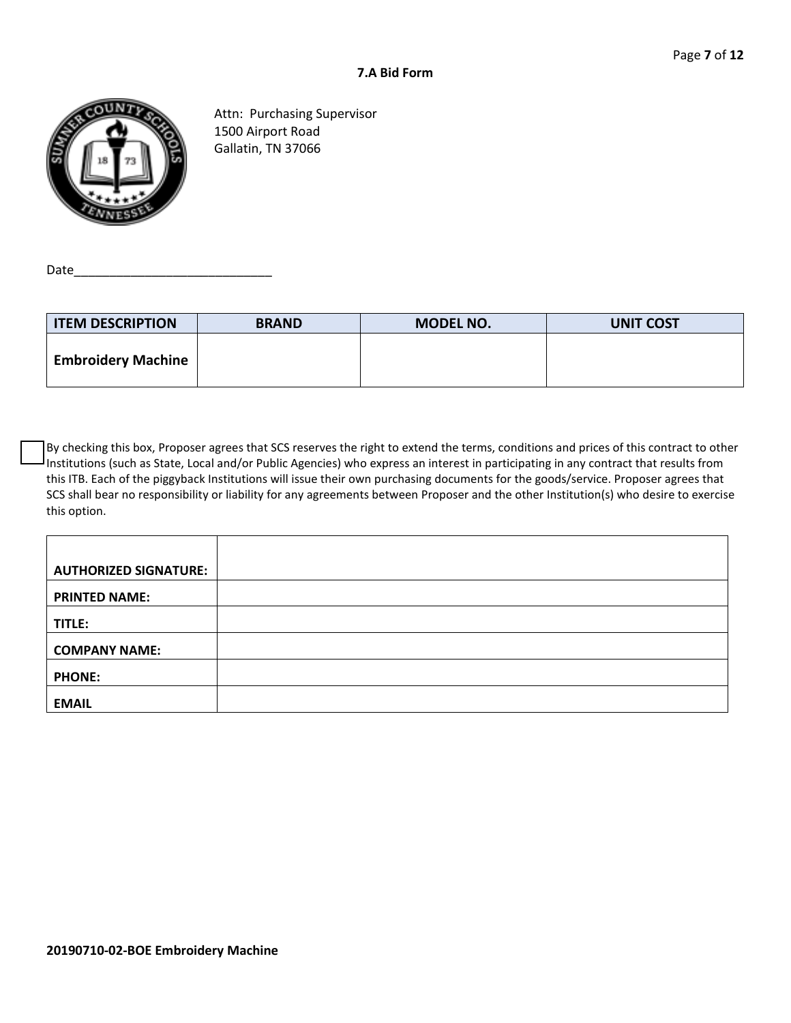

Attn: Purchasing Supervisor 1500 Airport Road Gallatin, TN 37066

Date\_

| <b>ITEM DESCRIPTION</b>   | <b>BRAND</b> | <b>MODEL NO.</b> | <b>UNIT COST</b> |
|---------------------------|--------------|------------------|------------------|
| <b>Embroidery Machine</b> |              |                  |                  |

By checking this box, Proposer agrees that SCS reserves the right to extend the terms, conditions and prices of this contract to other Institutions (such as State, Local and/or Public Agencies) who express an interest in participating in any contract that results from this ITB. Each of the piggyback Institutions will issue their own purchasing documents for the goods/service. Proposer agrees that SCS shall bear no responsibility or liability for any agreements between Proposer and the other Institution(s) who desire to exercise this option.

| <b>AUTHORIZED SIGNATURE:</b> |  |
|------------------------------|--|
| <b>PRINTED NAME:</b>         |  |
| TITLE:                       |  |
| <b>COMPANY NAME:</b>         |  |
| <b>PHONE:</b>                |  |
| <b>EMAIL</b>                 |  |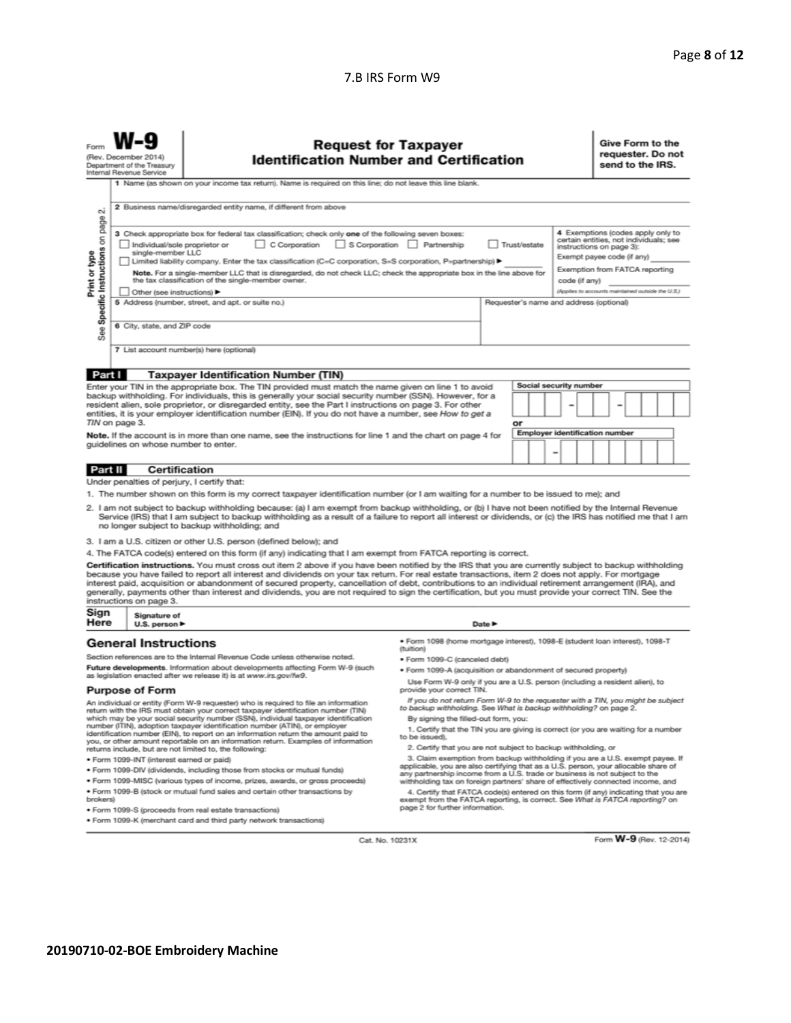#### 7.B IRS Form W9

| Forn                                                                                                                                                                                                                                                                                                                                                                                                                                                                                                                                                                                                                                                                                                                                                                          | <b>Request for Taxpayer</b><br>(Rev. December 2014)<br><b>Identification Number and Certification</b><br>Department of the Treasury<br>Internal Revenue Service |                                                                                                                                                                                                                                                                                                                                              |                                                                                                                                                                                                                                                                                    |  |  |   | Give Form to the<br>send to the IRS.                                                         |  | requester. Do not |  |
|-------------------------------------------------------------------------------------------------------------------------------------------------------------------------------------------------------------------------------------------------------------------------------------------------------------------------------------------------------------------------------------------------------------------------------------------------------------------------------------------------------------------------------------------------------------------------------------------------------------------------------------------------------------------------------------------------------------------------------------------------------------------------------|-----------------------------------------------------------------------------------------------------------------------------------------------------------------|----------------------------------------------------------------------------------------------------------------------------------------------------------------------------------------------------------------------------------------------------------------------------------------------------------------------------------------------|------------------------------------------------------------------------------------------------------------------------------------------------------------------------------------------------------------------------------------------------------------------------------------|--|--|---|----------------------------------------------------------------------------------------------|--|-------------------|--|
|                                                                                                                                                                                                                                                                                                                                                                                                                                                                                                                                                                                                                                                                                                                                                                               |                                                                                                                                                                 | 1 Name (as shown on your income tax return). Name is required on this line; do not leave this line blank.                                                                                                                                                                                                                                    |                                                                                                                                                                                                                                                                                    |  |  |   |                                                                                              |  |                   |  |
| ۵i                                                                                                                                                                                                                                                                                                                                                                                                                                                                                                                                                                                                                                                                                                                                                                            |                                                                                                                                                                 | 2 Business name/disregarded entity name, if different from above                                                                                                                                                                                                                                                                             |                                                                                                                                                                                                                                                                                    |  |  |   |                                                                                              |  |                   |  |
| page<br>4 Exemptions (codes apply only to<br>3 Check appropriate box for federal tax classification; check only one of the following seven boxes:<br>Specific Instructions on<br>certain entities, not individuals; see<br>S Corporation Partnership<br>Trust/estate<br>Individual/sole proprietor or<br>$\Box$ C Corporation<br>instructions on page 3):<br>single-member LLC<br>Print or type<br>Exempt payee code (if any)<br>Limited liability company. Enter the tax classification (C=C corporation, S=S corporation, P=partnership) ▶<br>Exemption from FATCA reporting<br>Note. For a single-member LLC that is disregarded, do not check LLC; check the appropriate box in the line above for<br>the tax classification of the single-member owner.<br>code (if any) |                                                                                                                                                                 |                                                                                                                                                                                                                                                                                                                                              |                                                                                                                                                                                                                                                                                    |  |  |   |                                                                                              |  |                   |  |
|                                                                                                                                                                                                                                                                                                                                                                                                                                                                                                                                                                                                                                                                                                                                                                               | Other (see instructions)                                                                                                                                        | 5 Address (number, street, and apt. or suite no.)                                                                                                                                                                                                                                                                                            |                                                                                                                                                                                                                                                                                    |  |  |   | (Applies to accounts maintained outside the U.S.)<br>Requester's name and address (optional) |  |                   |  |
|                                                                                                                                                                                                                                                                                                                                                                                                                                                                                                                                                                                                                                                                                                                                                                               |                                                                                                                                                                 |                                                                                                                                                                                                                                                                                                                                              |                                                                                                                                                                                                                                                                                    |  |  |   |                                                                                              |  |                   |  |
| See:                                                                                                                                                                                                                                                                                                                                                                                                                                                                                                                                                                                                                                                                                                                                                                          | 6 City, state, and ZIP code                                                                                                                                     |                                                                                                                                                                                                                                                                                                                                              |                                                                                                                                                                                                                                                                                    |  |  |   |                                                                                              |  |                   |  |
|                                                                                                                                                                                                                                                                                                                                                                                                                                                                                                                                                                                                                                                                                                                                                                               |                                                                                                                                                                 | 7 List account number(s) here (optional)                                                                                                                                                                                                                                                                                                     |                                                                                                                                                                                                                                                                                    |  |  |   |                                                                                              |  |                   |  |
| Part I                                                                                                                                                                                                                                                                                                                                                                                                                                                                                                                                                                                                                                                                                                                                                                        |                                                                                                                                                                 | <b>Taxpayer Identification Number (TIN)</b>                                                                                                                                                                                                                                                                                                  |                                                                                                                                                                                                                                                                                    |  |  |   |                                                                                              |  |                   |  |
|                                                                                                                                                                                                                                                                                                                                                                                                                                                                                                                                                                                                                                                                                                                                                                               |                                                                                                                                                                 | Enter your TIN in the appropriate box. The TIN provided must match the name given on line 1 to avoid                                                                                                                                                                                                                                         |                                                                                                                                                                                                                                                                                    |  |  |   | Social security number                                                                       |  |                   |  |
| backup withholding. For individuals, this is generally your social security number (SSN). However, for a<br>resident alien, sole proprietor, or disregarded entity, see the Part I instructions on page 3. For other<br>entities, it is your employer identification number (EIN). If you do not have a number, see How to get a<br>TIN on page 3.<br>or                                                                                                                                                                                                                                                                                                                                                                                                                      |                                                                                                                                                                 |                                                                                                                                                                                                                                                                                                                                              |                                                                                                                                                                                                                                                                                    |  |  |   |                                                                                              |  |                   |  |
| <b>Employer identification number</b><br>Note. If the account is in more than one name, see the instructions for line 1 and the chart on page 4 for                                                                                                                                                                                                                                                                                                                                                                                                                                                                                                                                                                                                                           |                                                                                                                                                                 |                                                                                                                                                                                                                                                                                                                                              |                                                                                                                                                                                                                                                                                    |  |  |   |                                                                                              |  |                   |  |
|                                                                                                                                                                                                                                                                                                                                                                                                                                                                                                                                                                                                                                                                                                                                                                               | quidelines on whose number to enter.                                                                                                                            |                                                                                                                                                                                                                                                                                                                                              |                                                                                                                                                                                                                                                                                    |  |  | ۰ |                                                                                              |  |                   |  |
| Certification<br>Part II                                                                                                                                                                                                                                                                                                                                                                                                                                                                                                                                                                                                                                                                                                                                                      |                                                                                                                                                                 |                                                                                                                                                                                                                                                                                                                                              |                                                                                                                                                                                                                                                                                    |  |  |   |                                                                                              |  |                   |  |
|                                                                                                                                                                                                                                                                                                                                                                                                                                                                                                                                                                                                                                                                                                                                                                               | Under penalties of perjury, I certify that:                                                                                                                     |                                                                                                                                                                                                                                                                                                                                              |                                                                                                                                                                                                                                                                                    |  |  |   |                                                                                              |  |                   |  |
|                                                                                                                                                                                                                                                                                                                                                                                                                                                                                                                                                                                                                                                                                                                                                                               |                                                                                                                                                                 | 1. The number shown on this form is my correct taxpayer identification number (or I am waiting for a number to be issued to me); and                                                                                                                                                                                                         |                                                                                                                                                                                                                                                                                    |  |  |   |                                                                                              |  |                   |  |
| 2. I am not subject to backup withholding because: (a) I am exempt from backup withholding, or (b) I have not been notified by the Internal Revenue<br>Service (IRS) that I am subject to backup withholding as a result of a failure to report all interest or dividends, or (c) the IRS has notified me that I am<br>no longer subject to backup withholding; and                                                                                                                                                                                                                                                                                                                                                                                                           |                                                                                                                                                                 |                                                                                                                                                                                                                                                                                                                                              |                                                                                                                                                                                                                                                                                    |  |  |   |                                                                                              |  |                   |  |
| 3. I am a U.S. citizen or other U.S. person (defined below); and                                                                                                                                                                                                                                                                                                                                                                                                                                                                                                                                                                                                                                                                                                              |                                                                                                                                                                 |                                                                                                                                                                                                                                                                                                                                              |                                                                                                                                                                                                                                                                                    |  |  |   |                                                                                              |  |                   |  |
|                                                                                                                                                                                                                                                                                                                                                                                                                                                                                                                                                                                                                                                                                                                                                                               |                                                                                                                                                                 | 4. The FATCA code(s) entered on this form (if any) indicating that I am exempt from FATCA reporting is correct.                                                                                                                                                                                                                              |                                                                                                                                                                                                                                                                                    |  |  |   |                                                                                              |  |                   |  |
| Certification instructions. You must cross out item 2 above if you have been notified by the IRS that you are currently subject to backup withholding<br>because you have failed to report all interest and dividends on your tax return. For real estate transactions, item 2 does not apply. For mortgage<br>interest paid, acquisition or abandonment of secured property, cancellation of debt, contributions to an individual retirement arrangement (IRA), and<br>generally, payments other than interest and dividends, you are not required to sign the certification, but you must provide your correct TIN. See the<br>instructions on page 3.                                                                                                                      |                                                                                                                                                                 |                                                                                                                                                                                                                                                                                                                                              |                                                                                                                                                                                                                                                                                    |  |  |   |                                                                                              |  |                   |  |
| Sign<br>Here                                                                                                                                                                                                                                                                                                                                                                                                                                                                                                                                                                                                                                                                                                                                                                  | Signature of<br>U.S. person $\blacktriangleright$<br>Date P                                                                                                     |                                                                                                                                                                                                                                                                                                                                              |                                                                                                                                                                                                                                                                                    |  |  |   |                                                                                              |  |                   |  |
|                                                                                                                                                                                                                                                                                                                                                                                                                                                                                                                                                                                                                                                                                                                                                                               | · Form 1098 (home mortgage interest), 1098-E (student loan interest), 1098-T<br><b>General Instructions</b><br>(tuition)                                        |                                                                                                                                                                                                                                                                                                                                              |                                                                                                                                                                                                                                                                                    |  |  |   |                                                                                              |  |                   |  |
|                                                                                                                                                                                                                                                                                                                                                                                                                                                                                                                                                                                                                                                                                                                                                                               |                                                                                                                                                                 | Section references are to the Internal Revenue Code unless otherwise noted.                                                                                                                                                                                                                                                                  | · Form 1099-C (canceled debt)                                                                                                                                                                                                                                                      |  |  |   |                                                                                              |  |                   |  |
|                                                                                                                                                                                                                                                                                                                                                                                                                                                                                                                                                                                                                                                                                                                                                                               |                                                                                                                                                                 | Future developments. Information about developments affecting Form W-9 (such<br>as legislation enacted after we release it) is at www.irs.gov/fw9.                                                                                                                                                                                           | · Form 1099-A (acquisition or abandonment of secured property)                                                                                                                                                                                                                     |  |  |   |                                                                                              |  |                   |  |
|                                                                                                                                                                                                                                                                                                                                                                                                                                                                                                                                                                                                                                                                                                                                                                               | <b>Purpose of Form</b>                                                                                                                                          |                                                                                                                                                                                                                                                                                                                                              | Use Form W-9 only if you are a U.S. person (including a resident alien), to<br>provide your correct TIN.                                                                                                                                                                           |  |  |   |                                                                                              |  |                   |  |
|                                                                                                                                                                                                                                                                                                                                                                                                                                                                                                                                                                                                                                                                                                                                                                               |                                                                                                                                                                 | An individual or entity (Form W-9 requester) who is required to file an information<br>return with the IRS must obtain your correct taxpayer identification number (TIN)<br>which may be your social security number (SSN), individual taxpayer identification<br>number (ITIN), adoption taxpayer identification number (ATIN), or employer | If you do not return Form W-9 to the requester with a TIN, you might be subject<br>to backup withholding. See What is backup withholding? on page 2.<br>By signing the filled-out form, you:<br>1. Certify that the TIN you are giving is correct (or you are waiting for a number |  |  |   |                                                                                              |  |                   |  |
|                                                                                                                                                                                                                                                                                                                                                                                                                                                                                                                                                                                                                                                                                                                                                                               |                                                                                                                                                                 | identification number (EIN), to report on an information return the amount paid to<br>you, or other amount reportable on an information return. Examples of information                                                                                                                                                                      | to be issued).                                                                                                                                                                                                                                                                     |  |  |   |                                                                                              |  |                   |  |
|                                                                                                                                                                                                                                                                                                                                                                                                                                                                                                                                                                                                                                                                                                                                                                               | 2. Certify that you are not subject to backup withholding, or<br>returns include, but are not limited to, the following:                                        |                                                                                                                                                                                                                                                                                                                                              |                                                                                                                                                                                                                                                                                    |  |  |   |                                                                                              |  |                   |  |

- · Form 1099-INT (interest earned or paid)
- . Form 1099-DIV (dividends, including those from stocks or mutual funds)
- · Form 1099-MISC (various types of income, prizes, awards, or gross proceeds)
- . Form 1099-B (stock or mutual fund sales and certain other transactions by brokers)
- · Form 1099-S (proceeds from real estate transactions)
- · Form 1099-K (merchant card and third party network transactions)
- 
- 2. Certify that you are not subject to backup withholding, or<br>3. Claim exemption from backup withholding if you are a U.S. exempt payee. If<br>applicable, you are also certifying that as a U.S. person, your allocable share of
- 4. Certify that FATCA code(s) entered on this form (if any) indicating that you are<br>exempt from the FATCA reporting, is correct. See What is FATCA reporting? on<br>page 2 for further information.

Cat. No. 10231X

Form W-9 (Rev. 12-2014)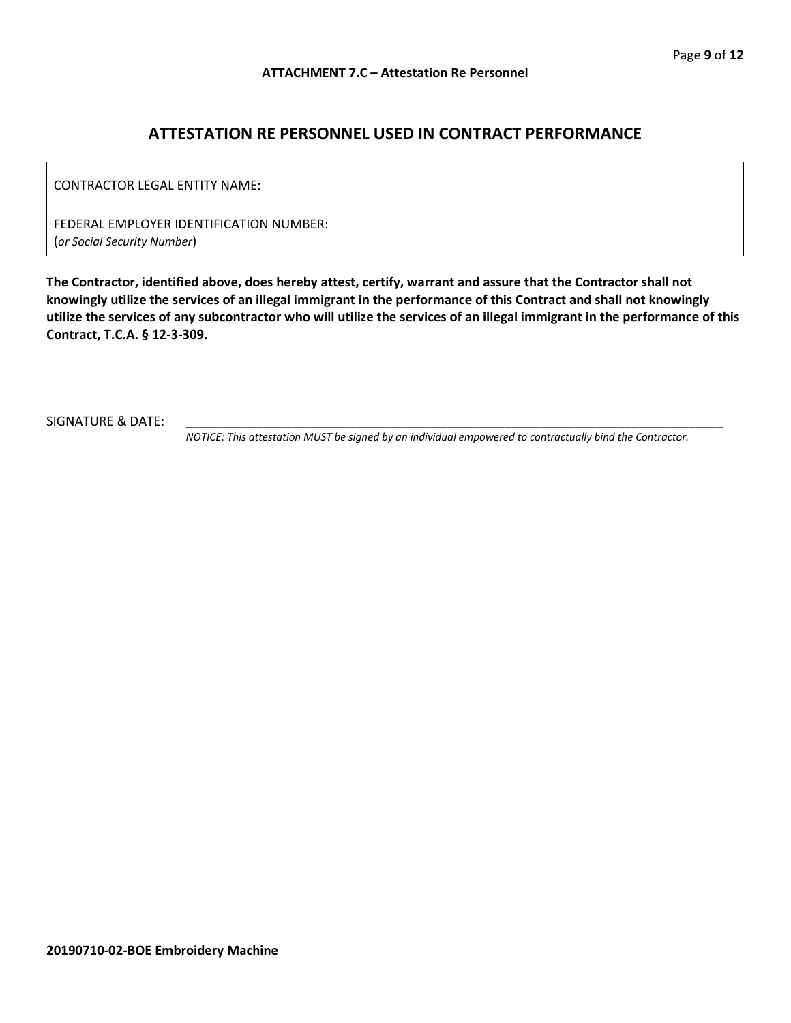## **ATTESTATION RE PERSONNEL USED IN CONTRACT PERFORMANCE**

| LCONTRACTOR LEGAL ENTITY NAME:                                         |  |
|------------------------------------------------------------------------|--|
| FEDERAL EMPLOYER IDENTIFICATION NUMBER:<br>(or Social Security Number) |  |

**The Contractor, identified above, does hereby attest, certify, warrant and assure that the Contractor shall not knowingly utilize the services of an illegal immigrant in the performance of this Contract and shall not knowingly utilize the services of any subcontractor who will utilize the services of an illegal immigrant in the performance of this Contract, T.C.A. § 12-3-309.**

SIGNATURE & DATE:

*NOTICE: This attestation MUST be signed by an individual empowered to contractually bind the Contractor.*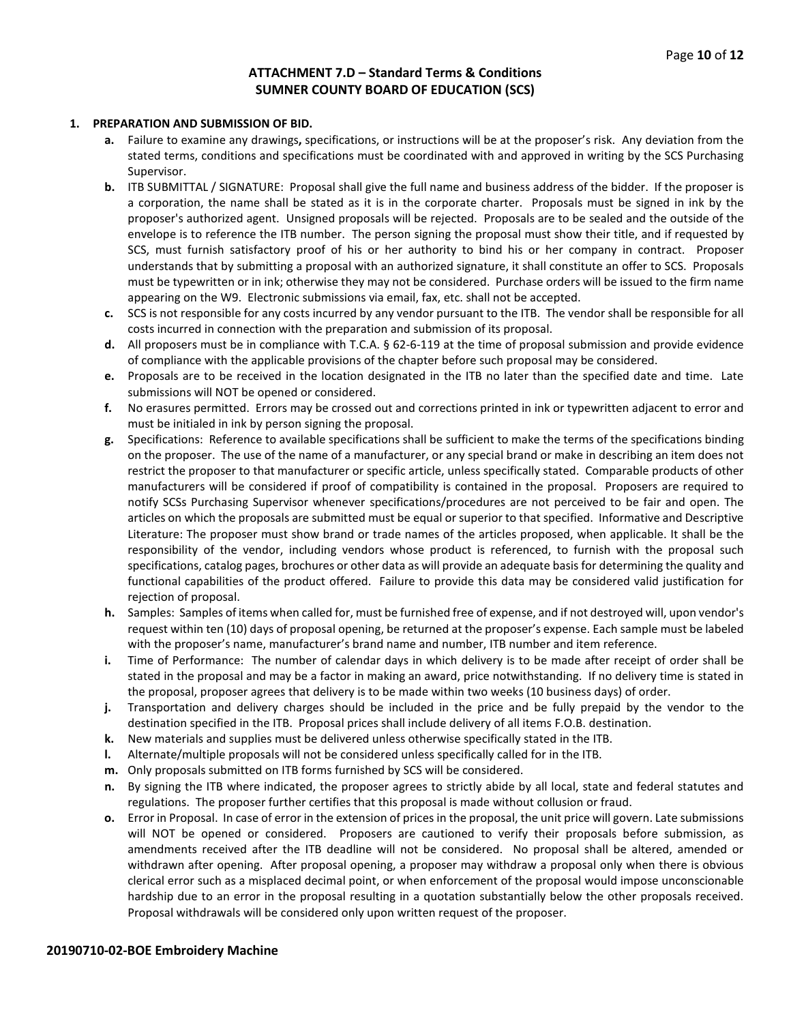#### **ATTACHMENT 7.D – Standard Terms & Conditions SUMNER COUNTY BOARD OF EDUCATION (SCS)**

#### **1. PREPARATION AND SUBMISSION OF BID.**

- **a.** Failure to examine any drawings**,** specifications, or instructions will be at the proposer's risk. Any deviation from the stated terms, conditions and specifications must be coordinated with and approved in writing by the SCS Purchasing Supervisor.
- **b.** ITB SUBMITTAL / SIGNATURE: Proposal shall give the full name and business address of the bidder. If the proposer is a corporation, the name shall be stated as it is in the corporate charter. Proposals must be signed in ink by the proposer's authorized agent. Unsigned proposals will be rejected. Proposals are to be sealed and the outside of the envelope is to reference the ITB number. The person signing the proposal must show their title, and if requested by SCS, must furnish satisfactory proof of his or her authority to bind his or her company in contract. Proposer understands that by submitting a proposal with an authorized signature, it shall constitute an offer to SCS. Proposals must be typewritten or in ink; otherwise they may not be considered. Purchase orders will be issued to the firm name appearing on the W9. Electronic submissions via email, fax, etc. shall not be accepted.
- **c.** SCS is not responsible for any costs incurred by any vendor pursuant to the ITB. The vendor shall be responsible for all costs incurred in connection with the preparation and submission of its proposal.
- **d.** All proposers must be in compliance with T.C.A. § 62-6-119 at the time of proposal submission and provide evidence of compliance with the applicable provisions of the chapter before such proposal may be considered.
- **e.** Proposals are to be received in the location designated in the ITB no later than the specified date and time. Late submissions will NOT be opened or considered.
- **f.** No erasures permitted. Errors may be crossed out and corrections printed in ink or typewritten adjacent to error and must be initialed in ink by person signing the proposal.
- **g.** Specifications: Reference to available specifications shall be sufficient to make the terms of the specifications binding on the proposer. The use of the name of a manufacturer, or any special brand or make in describing an item does not restrict the proposer to that manufacturer or specific article, unless specifically stated. Comparable products of other manufacturers will be considered if proof of compatibility is contained in the proposal. Proposers are required to notify SCSs Purchasing Supervisor whenever specifications/procedures are not perceived to be fair and open. The articles on which the proposals are submitted must be equal or superior to that specified. Informative and Descriptive Literature: The proposer must show brand or trade names of the articles proposed, when applicable. It shall be the responsibility of the vendor, including vendors whose product is referenced, to furnish with the proposal such specifications, catalog pages, brochures or other data as will provide an adequate basis for determining the quality and functional capabilities of the product offered. Failure to provide this data may be considered valid justification for rejection of proposal.
- **h.** Samples: Samples of items when called for, must be furnished free of expense, and if not destroyed will, upon vendor's request within ten (10) days of proposal opening, be returned at the proposer's expense. Each sample must be labeled with the proposer's name, manufacturer's brand name and number, ITB number and item reference.
- **i.** Time of Performance: The number of calendar days in which delivery is to be made after receipt of order shall be stated in the proposal and may be a factor in making an award, price notwithstanding. If no delivery time is stated in the proposal, proposer agrees that delivery is to be made within two weeks (10 business days) of order.
- **j.** Transportation and delivery charges should be included in the price and be fully prepaid by the vendor to the destination specified in the ITB. Proposal prices shall include delivery of all items F.O.B. destination.
- **k.** New materials and supplies must be delivered unless otherwise specifically stated in the ITB.
- **l.** Alternate/multiple proposals will not be considered unless specifically called for in the ITB.
- **m.** Only proposals submitted on ITB forms furnished by SCS will be considered.
- **n.** By signing the ITB where indicated, the proposer agrees to strictly abide by all local, state and federal statutes and regulations. The proposer further certifies that this proposal is made without collusion or fraud.
- **o.** Error in Proposal. In case of error in the extension of prices in the proposal, the unit price will govern. Late submissions will NOT be opened or considered. Proposers are cautioned to verify their proposals before submission, as amendments received after the ITB deadline will not be considered. No proposal shall be altered, amended or withdrawn after opening. After proposal opening, a proposer may withdraw a proposal only when there is obvious clerical error such as a misplaced decimal point, or when enforcement of the proposal would impose unconscionable hardship due to an error in the proposal resulting in a quotation substantially below the other proposals received. Proposal withdrawals will be considered only upon written request of the proposer.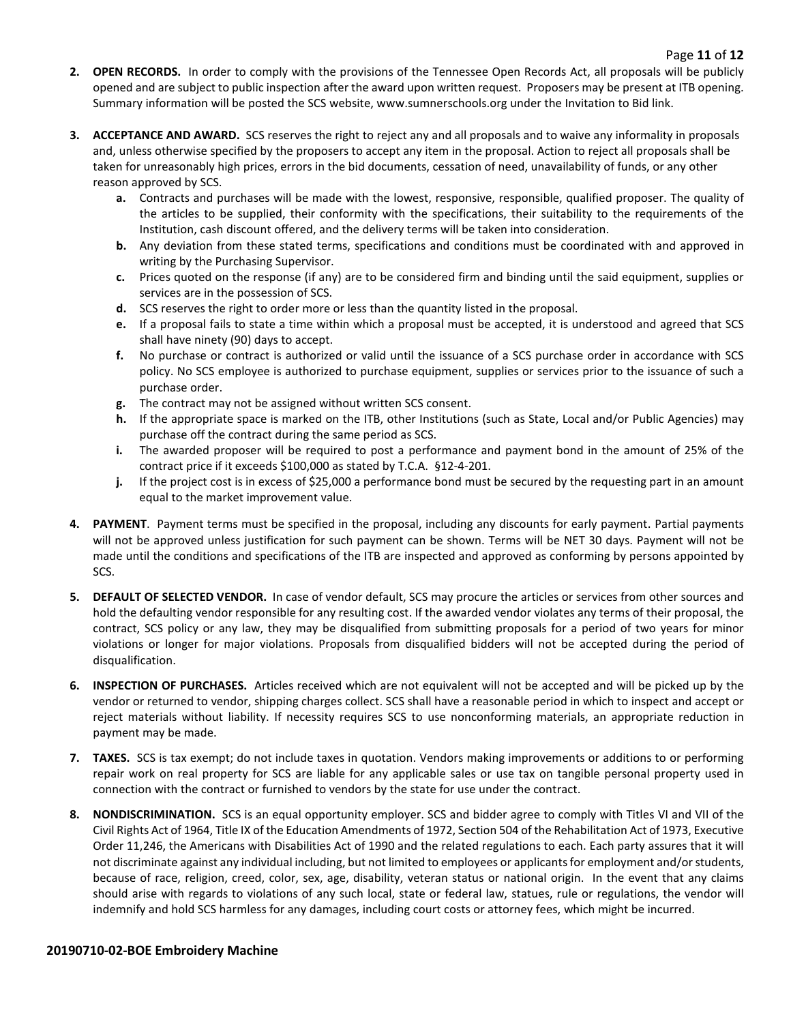- **2. OPEN RECORDS.** In order to comply with the provisions of the Tennessee Open Records Act, all proposals will be publicly opened and are subject to public inspection after the award upon written request. Proposers may be present at ITB opening. Summary information will be posted the SCS website, www.sumnerschools.org under the Invitation to Bid link.
- **3. ACCEPTANCE AND AWARD.** SCS reserves the right to reject any and all proposals and to waive any informality in proposals and, unless otherwise specified by the proposers to accept any item in the proposal. Action to reject all proposals shall be taken for unreasonably high prices, errors in the bid documents, cessation of need, unavailability of funds, or any other reason approved by SCS.
	- **a.** Contracts and purchases will be made with the lowest, responsive, responsible, qualified proposer. The quality of the articles to be supplied, their conformity with the specifications, their suitability to the requirements of the Institution, cash discount offered, and the delivery terms will be taken into consideration.
	- **b.** Any deviation from these stated terms, specifications and conditions must be coordinated with and approved in writing by the Purchasing Supervisor.
	- **c.** Prices quoted on the response (if any) are to be considered firm and binding until the said equipment, supplies or services are in the possession of SCS.
	- **d.** SCS reserves the right to order more or less than the quantity listed in the proposal.
	- **e.** If a proposal fails to state a time within which a proposal must be accepted, it is understood and agreed that SCS shall have ninety (90) days to accept.
	- **f.** No purchase or contract is authorized or valid until the issuance of a SCS purchase order in accordance with SCS policy. No SCS employee is authorized to purchase equipment, supplies or services prior to the issuance of such a purchase order.
	- **g.** The contract may not be assigned without written SCS consent.
	- **h.** If the appropriate space is marked on the ITB, other Institutions (such as State, Local and/or Public Agencies) may purchase off the contract during the same period as SCS.
	- **i.** The awarded proposer will be required to post a performance and payment bond in the amount of 25% of the contract price if it exceeds \$100,000 as stated by T.C.A. §12-4-201.
	- **j.** If the project cost is in excess of \$25,000 a performance bond must be secured by the requesting part in an amount equal to the market improvement value.
- **4. PAYMENT**. Payment terms must be specified in the proposal, including any discounts for early payment. Partial payments will not be approved unless justification for such payment can be shown. Terms will be NET 30 days. Payment will not be made until the conditions and specifications of the ITB are inspected and approved as conforming by persons appointed by SCS.
- **5. DEFAULT OF SELECTED VENDOR.** In case of vendor default, SCS may procure the articles or services from other sources and hold the defaulting vendor responsible for any resulting cost. If the awarded vendor violates any terms of their proposal, the contract, SCS policy or any law, they may be disqualified from submitting proposals for a period of two years for minor violations or longer for major violations. Proposals from disqualified bidders will not be accepted during the period of disqualification.
- **6. INSPECTION OF PURCHASES.** Articles received which are not equivalent will not be accepted and will be picked up by the vendor or returned to vendor, shipping charges collect. SCS shall have a reasonable period in which to inspect and accept or reject materials without liability. If necessity requires SCS to use nonconforming materials, an appropriate reduction in payment may be made.
- **7. TAXES.** SCS is tax exempt; do not include taxes in quotation. Vendors making improvements or additions to or performing repair work on real property for SCS are liable for any applicable sales or use tax on tangible personal property used in connection with the contract or furnished to vendors by the state for use under the contract.
- **8. NONDISCRIMINATION.** SCS is an equal opportunity employer. SCS and bidder agree to comply with Titles VI and VII of the Civil Rights Act of 1964, Title IX of the Education Amendments of 1972, Section 504 of the Rehabilitation Act of 1973, Executive Order 11,246, the Americans with Disabilities Act of 1990 and the related regulations to each. Each party assures that it will not discriminate against any individual including, but not limited to employees or applicants for employment and/or students, because of race, religion, creed, color, sex, age, disability, veteran status or national origin. In the event that any claims should arise with regards to violations of any such local, state or federal law, statues, rule or regulations, the vendor will indemnify and hold SCS harmless for any damages, including court costs or attorney fees, which might be incurred.